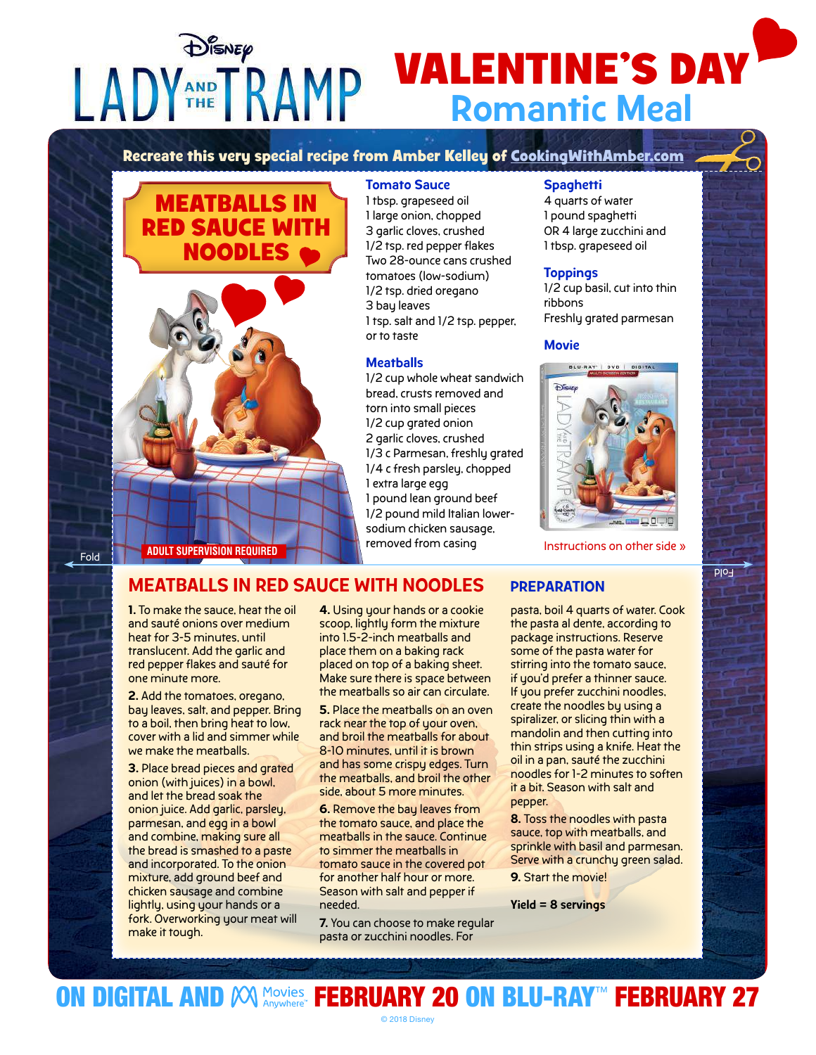DISNEP

# **VALENTINE'S DAY** Romantic Meal

**Recreate this very special recipe from Amber Kelley of CookingWithAmber.com**





#### Tomato Sauce

1 tbsp. grapeseed oil 1 large onion, chopped 3 garlic cloves, crushed 1/2 tsp. red pepper flakes Two 28-ounce cans crushed tomatoes (low-sodium) 1/2 tsp. dried oregano 3 bay leaves 1 tsp. salt and 1/2 tsp. pepper, or to taste

#### **Meatballs**

1/2 cup whole wheat sandwich bread, crusts removed and torn into small pieces 1/2 cup grated onion 2 garlic cloves, crushed 1/3 c Parmesan, freshly grated 1/4 c fresh parsley, chopped 1 extra large egg 1 pound lean ground beef 1/2 pound mild Italian lowersodium chicken sausage, removed from casing

## **Spaghetti**

4 quarts of water 1 pound spaghetti OR 4 large zucchini and 1 tbsp. grapeseed oil

### **Toppings**

1/2 cup basil, cut into thin ribbons Freshly grated parmesan

#### **Movie**



Instructions on other side »

Fold

# MEATBALLS IN RED SAUCE WITH NOODLES PREPARATION

1. To make the sauce, heat the oil and sauté onions over medium heat for 3-5 minutes, until translucent. Add the garlic and red pepper flakes and sauté for one minute more.

2. Add the tomatoes, oregano, bay leaves, salt, and pepper. Bring to a boil, then bring heat to low, cover with a lid and simmer while we make the meatballs.

3. Place bread pieces and grated onion (with juices) in a bowl, and let the bread soak the onion juice. Add garlic, parsley, parmesan, and egg in a bowl and combine, making sure all the bread is smashed to a paste and incorporated. To the onion mixture, add ground beef and chicken sausage and combine lightly, using your hands or a fork. Overworking your meat will make it tough.

4. Using your hands or a cookie scoop, lightly form the mixture into 1.5-2-inch meatballs and place them on a baking rack placed on top of a baking sheet. Make sure there is space between the meatballs so air can circulate.

5. Place the meatballs on an oven rack near the top of your oven, and broil the meatballs for about 8-10 minutes, until it is brown and has some crispy edges. Turn the meatballs, and broil the other side, about 5 more minutes.

6. Remove the bay leaves from the tomato sauce, and place the meatballs in the sauce. Continue to simmer the meatballs in tomato sauce in the covered pot for another half hour or more. Season with salt and pepper if needed.

7. You can choose to make regular pasta or zucchini noodles. For

pasta, boil 4 quarts of water. Cook the pasta al dente, according to package instructions. Reserve some of the pasta water for stirring into the tomato sauce, if you'd prefer a thinner sauce. If you prefer zucchini noodles, create the noodles by using a spiralizer, or slicing thin with a mandolin and then cutting into thin strips using a knife. Heat the oil in a pan, sauté the zucchini noodles for 1-2 minutes to soften it a bit. Season with salt and pepper.

8. Toss the noodles with pasta sauce, top with meatballs, and sprinkle with basil and parmesan. Serve with a crunchy green salad.

9. Start the movie!

Yield = 8 servings

Fold



© 2018 Disney